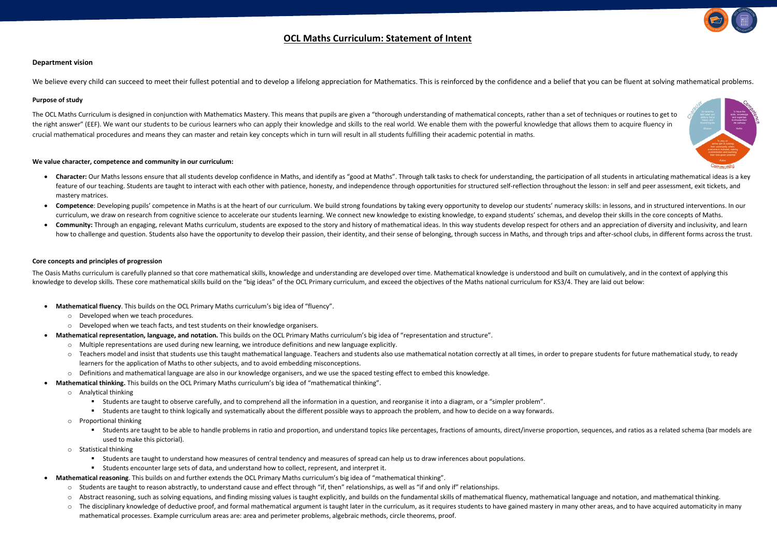## **OCL Maths Curriculum: Statement of Intent**

### **Department vision**

We believe every child can succeed to meet their fullest potential and to develop a lifelong appreciation for Mathematics. This is reinforced by the confidence and a belief that you can be fluent at solving mathematical pr

### **Purpose of study**

The OCL Maths Curriculum is designed in conjunction with Mathematics Mastery. This means that pupils are given a "thorough understanding of mathematical concepts, rather than a set of techniques or routines to get to the right answer" (EEF). We want our students to be curious learners who can apply their knowledge and skills to the real world. We enable them with the powerful knowledge that allows them to acquire fluency in crucial mathematical procedures and means they can master and retain key concepts which in turn will result in all students fulfilling their academic potential in maths.

### **We value character, competence and community in our curriculum:**

- Character: Our Maths lessons ensure that all students develop confidence in Maths, and identify as "good at Maths". Through talk tasks to check for understanding, the participation of all students in articulating mathema feature of our teaching. Students are taught to interact with each other with patience, honesty, and independence through opportunities for structured self-reflection throughout the lesson: in self and peer assessment, exi mastery matrices.
- Competence: Developing pupils' competence in Maths is at the heart of our curriculum. We build strong foundations by taking every opportunity to develop our students' numeracy skills: in lessons, and in structured interven curriculum, we draw on research from cognitive science to accelerate our students learning. We connect new knowledge to existing knowledge, to expand students' schemas, and develop their skills in the core concepts of Maths.
- Community: Through an engaging, relevant Maths curriculum, students are exposed to the story and history of mathematical ideas. In this way students develop respect for others and an appreciation of diversity and inclusivi how to challenge and question. Students also have the opportunity to develop their passion, their identity, and their sense of belonging, through success in Maths, and through trips and after-school clubs, in different for

The Oasis Maths curriculum is carefully planned so that core mathematical skills, knowledge and understanding are developed over time. Mathematical knowledge is understood and built on cumulatively, and in the context of a knowledge to develop skills. These core mathematical skills build on the "big ideas" of the OCL Primary curriculum, and exceed the objectives of the Maths national curriculum for KS3/4. They are laid out below:

### **Core concepts and principles of progression**

- **Mathematical fluency**. This builds on the OCL Primary Maths curriculum's big idea of "fluency".
	- o Developed when we teach procedures.
	- o Developed when we teach facts, and test students on their knowledge organisers.
- **Mathematical representation, language, and notation.** This builds on the OCL Primary Maths curriculum's big idea of "representation and structure".
	- o Multiple representations are used during new learning, we introduce definitions and new language explicitly.
	- Teachers model and insist that students use this taught mathematical language. Teachers and students also use mathematical notation correctly at all times, in order to prepare students for future mathematical study, to learners for the application of Maths to other subjects, and to avoid embedding misconceptions.
	- o Definitions and mathematical language are also in our knowledge organisers, and we use the spaced testing effect to embed this knowledge.
- **Mathematical thinking.** This builds on the OCL Primary Maths curriculum's big idea of "mathematical thinking".
	- o Analytical thinking
		- Students are taught to observe carefully, and to comprehend all the information in a question, and reorganise it into a diagram, or a "simpler problem".
		- Students are taught to think logically and systematically about the different possible ways to approach the problem, and how to decide on a way forwards.
	- o Proportional thinking
		- Students are taught to be able to handle problems in ratio and proportion, and understand topics like percentages, fractions of amounts, direct/inverse proportion, sequences, and ratios as a related schema (bar models a used to make this pictorial).
	- o Statistical thinking
		- Students are taught to understand how measures of central tendency and measures of spread can help us to draw inferences about populations.
		- Students encounter large sets of data, and understand how to collect, represent, and interpret it.
	- **Mathematical reasoning**. This builds on and further extends the OCL Primary Maths curriculum's big idea of "mathematical thinking".
		- o Students are taught to reason abstractly, to understand cause and effect through "if, then" relationships, as well as "if and only if" relationships.
		- o Abstract reasoning, such as solving equations, and finding missing values is taught explicitly, and builds on the fundamental skills of mathematical fluency, mathematical language and notation, and mathematical thinking.
		- The disciplinary knowledge of deductive proof, and formal mathematical argument is taught later in the curriculum, as it requires students to have gained mastery in many other areas, and to have acquired automaticity in mathematical processes. Example curriculum areas are: area and perimeter problems, algebraic methods, circle theorems, proof.



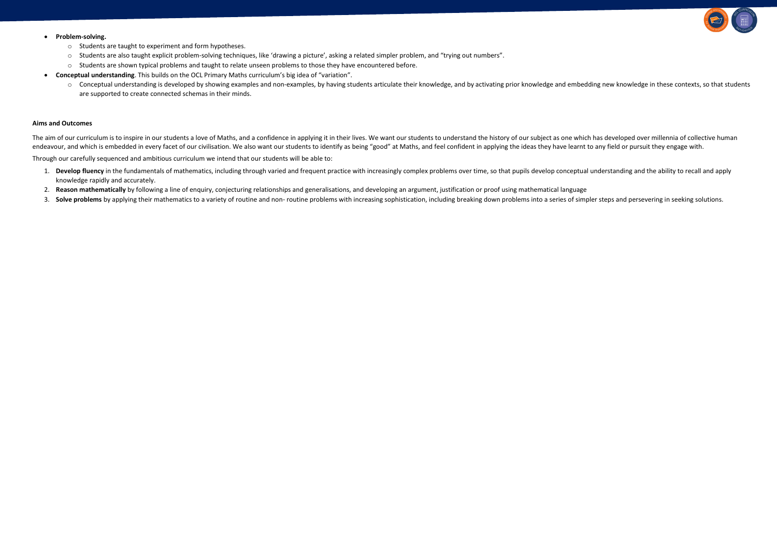### • **Problem-solving.**

- o Students are taught to experiment and form hypotheses.
- o Students are also taught explicit problem-solving techniques, like 'drawing a picture', asking a related simpler problem, and "trying out numbers".
- o Students are shown typical problems and taught to relate unseen problems to those they have encountered before.
- **Conceptual understanding**. This builds on the OCL Primary Maths curriculum's big idea of "variation".
	- o Conceptual understanding is developed by showing examples and non-examples, by having students articulate their knowledge, and by activating prior knowledge and embedding new knowledge in these contexts, so that students are supported to create connected schemas in their minds.

### **Aims and Outcomes**

The aim of our curriculum is to inspire in our students a love of Maths, and a confidence in applying it in their lives. We want our students to understand the history of our subject as one which has developed over millenn endeavour, and which is embedded in every facet of our civilisation. We also want our students to identify as being "good" at Maths, and feel confident in applying the ideas they have learnt to any field or pursuit they en

Through our carefully sequenced and ambitious curriculum we intend that our students will be able to:

- 1. Develop fluency in the fundamentals of mathematics, including through varied and frequent practice with increasingly complex problems over time, so that pupils develop conceptual understanding and the ability to recall knowledge rapidly and accurately.
- 2. Reason mathematically by following a line of enquiry, conjecturing relationships and generalisations, and developing an argument, justification or proof using mathematical language
- 3. Solve problems by applying their mathematics to a variety of routine and non- routine problems with increasing sophistication, including breaking down problems into a series of simpler steps and persevering in seeking s

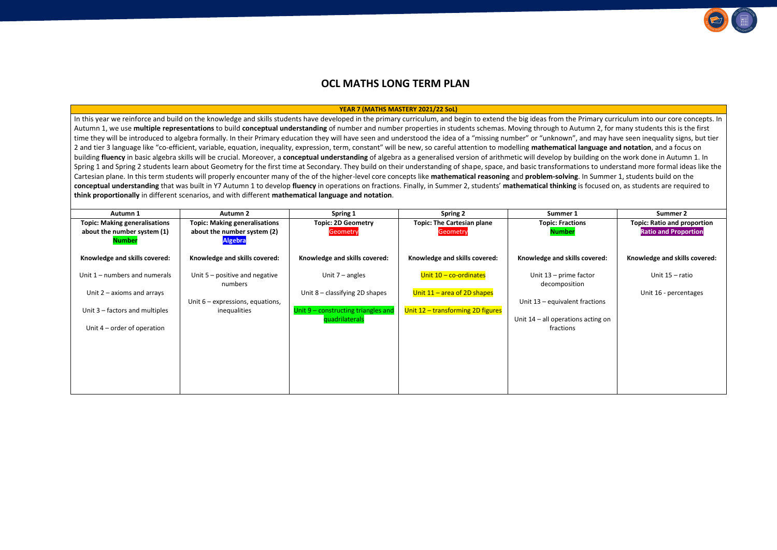# **OCL MATHS LONG TERM PLAN**

### **YEAR 7 (MATHS MASTERY 2021/22 SoL)**

In this year we reinforce and build on the knowledge and skills students have developed in the primary curriculum, and begin to extend the big ideas from the Primary curriculum into our core concepts. In Autumn 1, we use **multiple representations** to build **conceptual understanding** of number and number properties in students schemas. Moving through to Autumn 2, for many students this is the first time they will be introduced to algebra formally. In their Primary education they will have seen and understood the idea of a "missing number" or "unknown", and may have seen inequality signs, but tier 2 and tier 3 language like "co-efficient, variable, equation, inequality, expression, term, constant" will be new, so careful attention to modelling **mathematical language and notation**, and a focus on building **fluency** in basic algebra skills will be crucial. Moreover, a **conceptual understanding** of algebra as a generalised version of arithmetic will develop by building on the work done in Autumn 1. In Spring 1 and Spring 2 students learn about Geometry for the first time at Secondary. They build on their understanding of shape, space, and basic transformations to understand more formal ideas like the Cartesian plane. In this term students will properly encounter many of the of the higher-level core concepts like **mathematical reasoning** and **problem-solving**. In Summer 1, students build on the **conceptual understanding** that was built in Y7 Autumn 1 to develop **fluency** in operations on fractions. Finally, in Summer 2, students' **mathematical thinking** is focused on, as students are required to **think proportionally** in different scenarios, and with different **mathematical language and notation**.

| Autumn 1                              | <b>Autumn 2</b>                               | Spring 1                            | Spring 2                          | Summer 1                                | Summer 2                           |
|---------------------------------------|-----------------------------------------------|-------------------------------------|-----------------------------------|-----------------------------------------|------------------------------------|
| <b>Topic: Making generalisations</b>  | <b>Topic: Making generalisations</b>          | <b>Topic: 2D Geometry</b>           | <b>Topic: The Cartesian plane</b> | <b>Topic: Fractions</b>                 | <b>Topic: Ratio and proportion</b> |
| about the number system (1)<br>Number | about the number system (2)<br><b>Algebra</b> | Geometry                            | <b>Geometry</b>                   | <b>Number</b>                           | <b>Ratio and Proportion</b>        |
| Knowledge and skills covered:         | Knowledge and skills covered:                 | Knowledge and skills covered:       | Knowledge and skills covered:     | Knowledge and skills covered:           | Knowledge and skills covered:      |
| Unit $1$ – numbers and numerals       | Unit $5$ – positive and negative<br>numbers   | Unit $7$ – angles                   | Unit $10 - co-ordinates$          | Unit 13 - prime factor<br>decomposition | Unit $15 - ratio$                  |
| Unit $2 - axioms$ and arrays          |                                               | Unit 8 - classifying 2D shapes      | Unit $11 -$ area of 2D shapes     |                                         | Unit 16 - percentages              |
|                                       | Unit $6$ – expressions, equations,            |                                     |                                   | Unit 13 - equivalent fractions          |                                    |
| Unit 3 – factors and multiples        | inequalities                                  | Unit 9 - constructing triangles and | Unit 12 - transforming 2D figures |                                         |                                    |
|                                       |                                               | quadrilaterals                      |                                   | Unit $14$ – all operations acting on    |                                    |
| Unit $4$ – order of operation         |                                               |                                     |                                   | fractions                               |                                    |
|                                       |                                               |                                     |                                   |                                         |                                    |
|                                       |                                               |                                     |                                   |                                         |                                    |
|                                       |                                               |                                     |                                   |                                         |                                    |
|                                       |                                               |                                     |                                   |                                         |                                    |
|                                       |                                               |                                     |                                   |                                         |                                    |
|                                       |                                               |                                     |                                   |                                         |                                    |
|                                       |                                               |                                     |                                   |                                         |                                    |

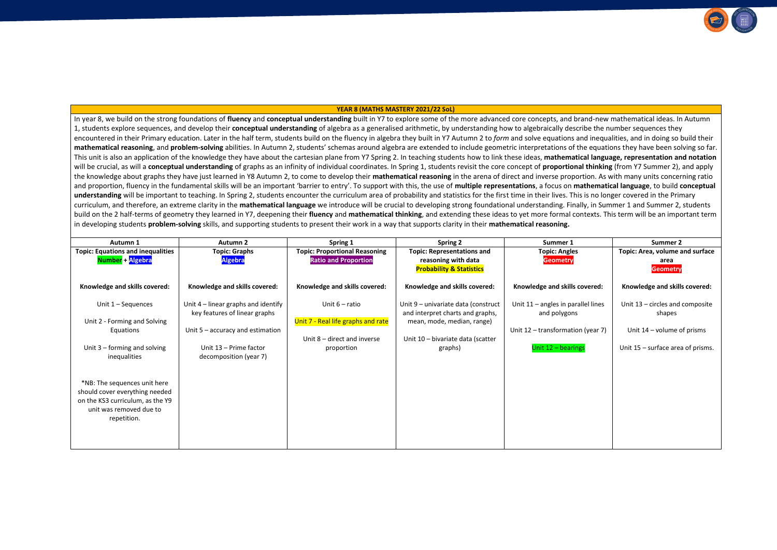### **YEAR 8 (MATHS MASTERY 2021/22 SoL)**

In year 8, we build on the strong foundations of **fluency** and **conceptual understanding** built in Y7 to explore some of the more advanced core concepts, and brand-new mathematical ideas. In Autumn 1, students explore sequences, and develop their **conceptual understanding** of algebra as a generalised arithmetic, by understanding how to algebraically describe the number sequences they encountered in their Primary education. Later in the half term, students build on the fluency in algebra they built in Y7 Autumn 2 to *form* and solve equations and inequalities, and in doing so build their **mathematical reasoning**, and **problem-solving** abilities. In Autumn 2, students' schemas around algebra are extended to include geometric interpretations of the equations they have been solving so far. This unit is also an application of the knowledge they have about the cartesian plane from Y7 Spring 2. In teaching students how to link these ideas, **mathematical language, representation and notation** will be crucial, as will a **conceptual understanding** of graphs as an infinity of individual coordinates. In Spring 1, students revisit the core concept of **proportional thinking** (from Y7 Summer 2), and apply the knowledge about graphs they have just learned in Y8 Autumn 2, to come to develop their **mathematical reasoning** in the arena of direct and inverse proportion. As with many units concerning ratio and proportion, fluency in the fundamental skills will be an important 'barrier to entry'. To support with this, the use of **multiple representations**, a focus on **mathematical language**, to build **conceptual** understanding will be important to teaching. In Spring 2, students encounter the curriculum area of probability and statistics for the first time in their lives. This is no longer covered in the Primary curriculum, and therefore, an extreme clarity in the **mathematical language** we introduce will be crucial to developing strong foundational understanding. Finally, in Summer 1 and Summer 2, students build on the 2 half-terms of geometry they learned in Y7, deepening their **fluency** and **mathematical thinking**, and extending these ideas to yet more formal contexts. This term will be an important term in developing students **problem-solving** skills, and supporting students to present their work in a way that supports clarity in their **mathematical reasoning.**

| Autumn 1                                                                                                                                     | <b>Autumn 2</b>                                                                                                                                                | Spring 1                                                                                            | <b>Spring 2</b>                                                                                                                                       | Summer 1                                                                                                        | Summer 2                                                                                                       |
|----------------------------------------------------------------------------------------------------------------------------------------------|----------------------------------------------------------------------------------------------------------------------------------------------------------------|-----------------------------------------------------------------------------------------------------|-------------------------------------------------------------------------------------------------------------------------------------------------------|-----------------------------------------------------------------------------------------------------------------|----------------------------------------------------------------------------------------------------------------|
| <b>Topic: Equations and inequalities</b><br>Number + Algebra                                                                                 | <b>Topic: Graphs</b><br><b>Algebra</b>                                                                                                                         | <b>Topic: Proportional Reasoning</b><br><b>Ratio and Proportion</b>                                 | <b>Topic: Representations and</b><br>reasoning with data<br><b>Probability &amp; Statistics</b>                                                       | <b>Topic: Angles</b><br><b>Geometry</b>                                                                         | Topic: Area, volume and surface<br>area<br><b>Geometry</b>                                                     |
| Knowledge and skills covered:                                                                                                                | Knowledge and skills covered:                                                                                                                                  | Knowledge and skills covered:                                                                       | Knowledge and skills covered:                                                                                                                         | Knowledge and skills covered:                                                                                   | Knowledge and skills covered:                                                                                  |
| Unit $1 -$ Sequences<br>Unit 2 - Forming and Solving<br>Equations<br>Unit $3$ – forming and solving<br>inequalities                          | Unit 4 – linear graphs and identify<br>key features of linear graphs<br>Unit $5 -$ accuracy and estimation<br>Unit 13 - Prime factor<br>decomposition (year 7) | Unit $6$ – ratio<br>Unit 7 - Real life graphs and rate<br>Unit 8 – direct and inverse<br>proportion | Unit 9 - univariate data (construct<br>and interpret charts and graphs,<br>mean, mode, median, range)<br>Unit 10 - bivariate data (scatter<br>graphs) | Unit $11$ – angles in parallel lines<br>and polygons<br>Unit 12 - transformation (year 7)<br>Unit 12 - bearings | Unit 13 – circles and composite<br>shapes<br>Unit $14$ – volume of prisms<br>Unit 15 - surface area of prisms. |
| *NB: The sequences unit here<br>should cover everything needed<br>on the KS3 curriculum, as the Y9<br>unit was removed due to<br>repetition. |                                                                                                                                                                |                                                                                                     |                                                                                                                                                       |                                                                                                                 |                                                                                                                |

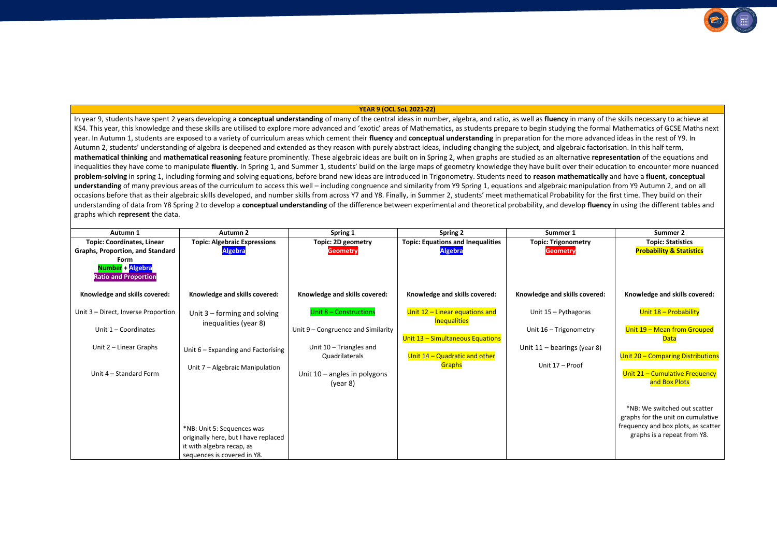### **YEAR 9 (OCL SoL 2021-22)**

In year 9, students have spent 2 years developing a **conceptual understanding** of many of the central ideas in number, algebra, and ratio, as well as **fluency** in many of the skills necessary to achieve at KS4. This vear, this knowledge and these skills are utilised to explore more advanced and 'exotic' areas of Mathematics, as students prepare to begin studying the formal Mathematics of GCSE Maths next year. In Autumn 1, students are exposed to a variety of curriculum areas which cement their **fluency** and **conceptual understanding** in preparation for the more advanced ideas in the rest of Y9. In Autumn 2, students' understanding of algebra is deepened and extended as they reason with purely abstract ideas, including changing the subject, and algebraic factorisation. In this half term, **mathematical thinking** and **mathematical reasoning** feature prominently. These algebraic ideas are built on in Spring 2, when graphs are studied as an alternative **representation** of the equations and inequalities they have come to manipulate **fluently**. In Spring 1, and Summer 1, students' build on the large maps of geometry knowledge they have built over their education to encounter more nuanced **problem-solving** in spring 1, including forming and solving equations, before brand new ideas are introduced in Trigonometry. Students need to **reason mathematically** and have a **fluent, conceptual**  understanding of many previous areas of the curriculum to access this well – including congruence and similarity from Y9 Spring 1, equations and algebraic manipulation from Y9 Autumn 2, and on all occasions before that as their algebraic skills developed, and number skills from across Y7 and Y8. Finally, in Summer 2, students' meet mathematical Probability for the first time. They build on their understanding of data from Y8 Spring 2 to develop a **conceptual understanding** of the difference between experimental and theoretical probability, and develop **fluency** in using the different tables and graphs which **represent** the data.

| Autumn 1                                                                                                                                                    | Autumn 2                                                                                                                       | Spring 1                                   | <b>Spring 2</b>                                            | Summer 1                                      | Summer 2                                                                                                                                |
|-------------------------------------------------------------------------------------------------------------------------------------------------------------|--------------------------------------------------------------------------------------------------------------------------------|--------------------------------------------|------------------------------------------------------------|-----------------------------------------------|-----------------------------------------------------------------------------------------------------------------------------------------|
| <b>Topic: Coordinates, Linear</b><br><b>Graphs, Proportion, and Standard</b><br><b>Form</b><br><mark>Number + Algebra</mark><br><b>Ratio and Proportion</b> | <b>Topic: Algebraic Expressions</b><br><b>Algebra</b>                                                                          | Topic: 2D geometry<br><b>Geometry</b>      | <b>Topic: Equations and Inequalities</b><br><b>Algebra</b> | <b>Topic: Trigonometry</b><br><b>Geometry</b> | <b>Topic: Statistics</b><br><b>Probability &amp; Statistics</b>                                                                         |
| Knowledge and skills covered:                                                                                                                               | Knowledge and skills covered:                                                                                                  | Knowledge and skills covered:              | Knowledge and skills covered:                              | Knowledge and skills covered:                 | Knowledge and skills covered:                                                                                                           |
| Unit 3 - Direct, Inverse Proportion                                                                                                                         | Unit 3 - forming and solving                                                                                                   | Unit 8 - Constructions                     | Unit 12 - Linear equations and                             | Unit 15 - Pythagoras                          | Unit 18 - Probability                                                                                                                   |
| Unit $1 -$ Coordinates                                                                                                                                      | inequalities (year 8)                                                                                                          | Unit 9 - Congruence and Similarity         | <b>Inequalities</b><br>Unit 13 - Simultaneous Equations    | Unit 16 - Trigonometry                        | Unit 19 - Mean from Grouped<br><b>Data</b>                                                                                              |
| Unit $2$ – Linear Graphs                                                                                                                                    | Unit 6 – Expanding and Factorising                                                                                             | Unit 10 - Triangles and<br>Quadrilaterals  | Unit 14 - Quadratic and other                              | Unit $11 -$ bearings (year 8)                 | Unit 20 - Comparing Distributions                                                                                                       |
| Unit 4 - Standard Form                                                                                                                                      | Unit 7 - Algebraic Manipulation                                                                                                | Unit $10 -$ angles in polygons<br>(year 8) | Graphs                                                     | Unit 17 - Proof                               | Unit 21 - Cumulative Frequency<br>and Box Plots                                                                                         |
|                                                                                                                                                             | *NB: Unit 5: Sequences was<br>originally here, but I have replaced<br>it with algebra recap, as<br>sequences is covered in Y8. |                                            |                                                            |                                               | *NB: We switched out scatter<br>graphs for the unit on cumulative<br>frequency and box plots, as scatter<br>graphs is a repeat from Y8. |

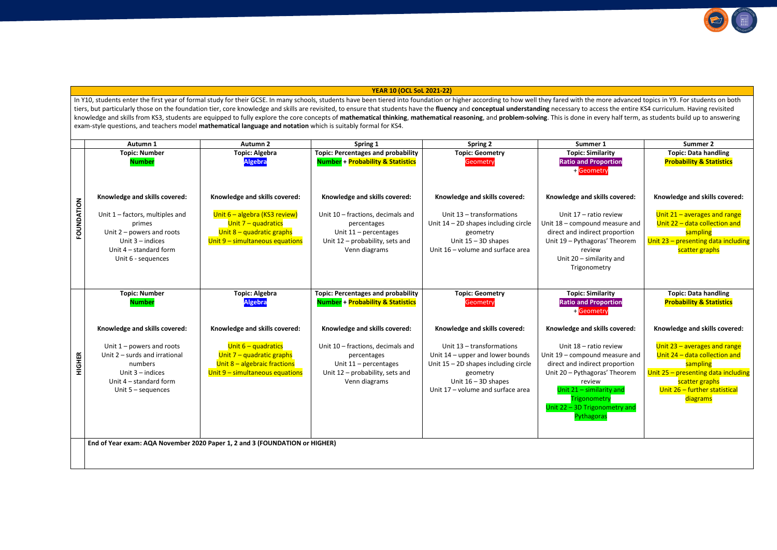### **YEAR 10 (OCL SoL 2021-22)**

In Y10, students enter the first year of formal study for their GCSE. In many schools, students have been tiered into foundation or higher according to how well they fared with the more advanced topics in Y9. For students tiers, but particularly those on the foundation tier, core knowledge and skills are revisited, to ensure that students have the fluency and conceptual understanding necessary to access the entire KS4 curriculum. Having rev knowledge and skills from KS3, students are equipped to fully explore the core concepts of mathematical thinking, mathematical reasoning, and problem-solving. This is done in every half term, as students build up to answer exam-style questions, and teachers model **mathematical language and notation** which is suitably formal for KS4.

|               | Autumn 1                                                                                                                                                                          | <b>Autumn 2</b>                                                                                                                                                  | Spring 1                                                                                                                                                                                                  | <b>Spring 2</b>                                                                                                                                                                | Summer 1                                                                                                                                                                                                           | <b>Summer 2</b>                                                                                                                                                                  |
|---------------|-----------------------------------------------------------------------------------------------------------------------------------------------------------------------------------|------------------------------------------------------------------------------------------------------------------------------------------------------------------|-----------------------------------------------------------------------------------------------------------------------------------------------------------------------------------------------------------|--------------------------------------------------------------------------------------------------------------------------------------------------------------------------------|--------------------------------------------------------------------------------------------------------------------------------------------------------------------------------------------------------------------|----------------------------------------------------------------------------------------------------------------------------------------------------------------------------------|
|               | <b>Topic: Number</b><br><b>Number</b>                                                                                                                                             | <b>Topic: Algebra</b><br><b>Algebra</b>                                                                                                                          | <b>Topic: Percentages and probability</b><br><b>Number + Probability &amp; Statistics</b>                                                                                                                 | <b>Topic: Geometry</b><br>Geometry                                                                                                                                             | <b>Topic: Similarity</b><br><b>Ratio and Proportion</b><br>+ Geometry                                                                                                                                              | <b>Topic: Data handling</b><br><b>Probability &amp; Statistics</b>                                                                                                               |
| FOUNDATION    | Knowledge and skills covered:<br>Unit $1$ – factors, multiples and<br>primes<br>Unit $2$ – powers and roots<br>Unit $3$ – indices<br>Unit 4 - standard form<br>Unit 6 - sequences | Knowledge and skills covered:<br>Unit 6 - algebra (KS3 review)<br>Unit $7 -$ quadratics<br>Unit 8 - quadratic graphs<br>Unit 9 - simultaneous equations          | Knowledge and skills covered:<br>Unit 10 - fractions, decimals and<br>percentages<br>Unit $11$ – percentages<br>Unit 12 - probability, sets and<br>Venn diagrams                                          | Knowledge and skills covered:<br>Unit 13 - transformations<br>Unit $14 - 2D$ shapes including circle<br>geometry<br>Unit $15 - 3D$ shapes<br>Unit 16 - volume and surface area | Knowledge and skills covered:<br>Unit 17 - ratio review<br>Unit 18 - compound measure and<br>direct and indirect proportion<br>Unit 19 - Pythagoras' Theorem<br>review<br>Unit 20 - similarity and<br>Trigonometry | Knowledge and skills covered:<br>Unit 21 - averages and range<br>Unit 22 - data collection and<br>sampling<br>Unit 23 - presenting data including<br>scatter graphs              |
| <b>HIGHER</b> | <b>Topic: Number</b><br><b>Number</b><br>Knowledge and skills covered:<br>Unit $1$ – powers and roots<br>Unit 2 - surds and irrational<br>numbers                                 | <b>Topic: Algebra</b><br><b>Algebra</b><br>Knowledge and skills covered:<br>Unit $6 -$ quadratics<br>Unit $7$ – quadratic graphs<br>Unit 8 - algebraic fractions | <b>Topic: Percentages and probability</b><br><b>Number + Probability &amp; Statistics</b><br>Knowledge and skills covered:<br>Unit 10 - fractions, decimals and<br>percentages<br>Unit $11$ – percentages | <b>Topic: Geometry</b><br>Geometry<br>Knowledge and skills covered:<br>Unit 13 - transformations<br>Unit 14 – upper and lower bounds<br>Unit $15 - 2D$ shapes including circle | <b>Topic: Similarity</b><br><b>Ratio and Proportion</b><br>+ Geometry<br>Knowledge and skills covered:<br>Unit 18 - ratio review<br>Unit 19 - compound measure and<br>direct and indirect proportion               | <b>Topic: Data handling</b><br><b>Probability &amp; Statistics</b><br>Knowledge and skills covered:<br>Unit 23 - averages and range<br>Unit 24 - data collection and<br>sampling |
|               | Unit $3$ – indices<br>Unit 4 - standard form<br>Unit $5 -$ sequences<br>End of Year exam: AQA November 2020 Paper 1, 2 and 3 (FOUNDATION or HIGHER)                               | Unit 9 - simultaneous equations                                                                                                                                  | Unit 12 - probability, sets and<br>Venn diagrams                                                                                                                                                          | geometry<br>Unit $16 - 3D$ shapes<br>Unit 17 - volume and surface area                                                                                                         | Unit 20 - Pythagoras' Theorem<br>review<br>Unit 21 - similarity and<br>Trigonometry<br>Unit 22 - 3D Trigonometry and<br>Pythagoras                                                                                 | Unit 25 - presenting data including<br>scatter graphs<br>Unit 26 - further statistical<br>diagrams                                                                               |
|               |                                                                                                                                                                                   |                                                                                                                                                                  |                                                                                                                                                                                                           |                                                                                                                                                                                |                                                                                                                                                                                                                    |                                                                                                                                                                                  |